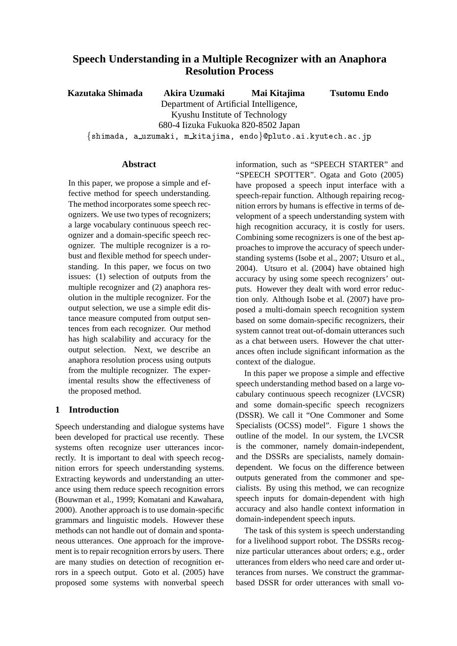# **Speech Understanding in a Multiple Recognizer with an Anaphora Resolution Process**

**Kazutaka Shimada Akira Uzumaki** Department of Artificial Intelligence, Kyushu Institute of Technology 680-4 Iizuka Fukuoka 820-8502 Japan  $-$  . The contract of the contract of the contract of the contract of the contract of the contract of the contract of the contract of the contract of the contract of the contract of the contract of the contract of the con **Mai Kitajima Tsutomu Endo**

# **Abstract**

In this paper, we propose a simple and effective method for speech understanding. The method incorporates some speech recognizers. We use two types of recognizers; a large vocabulary continuous speech recognizer and a domain-specific speech recognizer. The multiple recognizer is a robust and flexible method for speech understanding. In this paper, we focus on two issues: (1) selection of outputs from the multiple recognizer and (2) anaphora resolution in the multiple recognizer. For the output selection, we use a simple edit distance measure computed from output sentences from each recognizer. Our method has high scalability and accuracy for the output selection. Next, we describe an anaphora resolution process using outputs from the multiple recognizer. The experimental results show the effectiveness of the proposed method.

# **1 Introduction**

Speech understanding and dialogue systems have been developed for practical use recently. These systems often recognize user utterances incorrectly. It is important to deal with speech recognition errors for speech understanding systems. Extracting keywords and understanding an utterance using them reduce speech recognition errors (Bouwman et al., 1999; Komatani and Kawahara, 2000). Another approach is to use domain-specific grammars and linguistic models. However these methods can not handle out of domain and spontaneous utterances. One approach for the improvement is to repair recognition errors by users. There are many studies on detection of recognition errors in a speech output. Goto et al. (2005) have proposed some systems with nonverbal speech information, such as "SPEECH STARTER" and "SPEECH SPOTTER". Ogata and Goto (2005) have proposed a speech input interface with a speech-repair function. Although repairing recognition errors by humans is effective in terms of development of a speech understanding system with high recognition accuracy, it is costly for users. Combining some recognizers is one of the best approaches to improve the accuracy of speech understanding systems (Isobe et al., 2007; Utsuro et al., 2004). Utsuro et al. (2004) have obtained high accuracy by using some speech recognizers' outputs. However they dealt with word error reduction only. Although Isobe et al. (2007) have proposed a multi-domain speech recognition system based on some domain-specific recognizers, their system cannot treat out-of-domain utterances such as a chat between users. However the chat utterances often include significant information as the context of the dialogue.

In this paper we propose a simple and effective speech understanding method based on a large vocabulary continuous speech recognizer (LVCSR) and some domain-specific speech recognizers (DSSR). We call it "One Commoner and Some Specialists (OCSS) model". Figure 1 shows the outline of the model. In our system, the LVCSR is the commoner, namely domain-independent, and the DSSRs are specialists, namely domaindependent. We focus on the difference between outputs generated from the commoner and specialists. By using this method, we can recognize speech inputs for domain-dependent with high accuracy and also handle context information in domain-independent speech inputs.

The task of this system is speech understanding for a livelihood support robot. The DSSRs recognize particular utterances about orders; e.g., order utterances from elders who need care and order utterances from nurses. We construct the grammarbased DSSR for order utterances with small vo-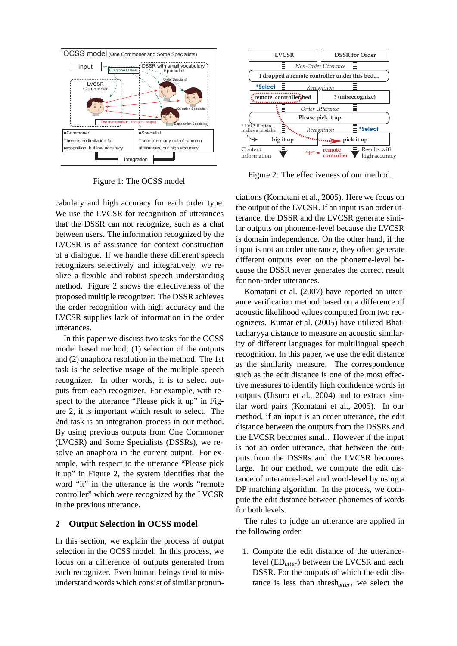

Figure 1: The OCSS model

cabulary and high accuracy for each order type. We use the LVCSR for recognition of utterances that the DSSR can not recognize, such as a chat between users. The information recognized by the LVCSR is of assistance for context construction of a dialogue. If we handle these different speech recognizers selectively and integratively, we realize a flexible and robust speech understanding method. Figure 2 shows the effectiveness of the proposed multiple recognizer. The DSSR achieves the order recognition with high accuracy and the LVCSR supplies lack of information in the order utterances.

In this paper we discuss two tasks for the OCSS model based method; (1) selection of the outputs and (2) anaphora resolution in the method. The 1st task is the selective usage of the multiple speech recognizer. In other words, it is to select outputs from each recognizer. For example, with respect to the utterance "Please pick it up" in Figure 2, it is important which result to select. The 2nd task is an integration process in our method. By using previous outputs from One Commoner (LVCSR) and Some Specialists (DSSRs), we resolve an anaphora in the current output. For example, with respect to the utterance "Please pick it up" in Figure 2, the system identifies that the word "it" in the utterance is the words "remote controller" which were recognized by the LVCSR in the previous utterance.

# **2 Output Selection in OCSS model**

In this section, we explain the process of output selection in the OCSS model. In this process, we focus on a difference of outputs generated from each recognizer. Even human beings tend to misunderstand words which consist of similar pronun-



Figure 2: The effectiveness of our method.

ciations (Komatani et al., 2005). Here we focus on the output of the LVCSR. If an input is an order utterance, the DSSR and the LVCSR generate similar outputs on phoneme-level because the LVCSR is domain independence. On the other hand, if the input is not an order utterance, they often generate different outputs even on the phoneme-level because the DSSR never generates the correct result for non-order utterances.

Komatani et al. (2007) have reported an utterance verification method based on a difference of acoustic likelihood values computed from two recognizers. Kumar et al. (2005) have utilized Bhattacharyya distance to measure an acoustic similarity of different languages for multilingual speech recognition. In this paper, we use the edit distance as the similarity measure. The correspondence such as the edit distance is one of the most effective measures to identify high confidence words in outputs (Utsuro et al., 2004) and to extract similar word pairs (Komatani et al., 2005). In our method, if an input is an order utterance, the edit distance between the outputs from the DSSRs and the LVCSR becomes small. However if the input is not an order utterance, that between the outputs from the DSSRs and the LVCSR becomes large. In our method, we compute the edit distance of utterance-level and word-level by using a DP matching algorithm. In the process, we compute the edit distance between phonemes of words for both levels.

The rules to judge an utterance are applied in the following order:

1. Compute the edit distance of the utterancelevel (ED*utter*) between the LVCSR and each DSSR. For the outputs of which the edit distance is less than thresh*utter*, we select the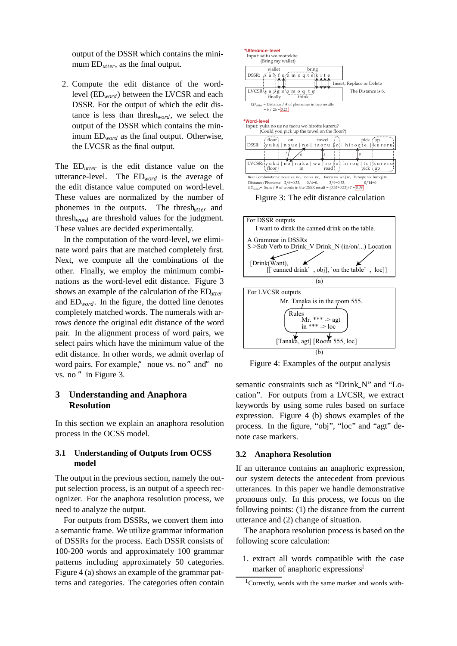output of the DSSR which contains the minimum ED*utter*, as the final output.

2. Compute the edit distance of the wordlevel (ED*word*) between the LVCSR and each DSSR. For the output of which the edit distance is less than thresh*word*, we select the output of the DSSR which contains the minimum ED*word* as the final output. Otherwise, the LVCSR as the final output.

The ED*utter* is the edit distance value on the utterance-level. The ED*word* is the average of the edit distance value computed on word-level. These values are normalized by the number of phonemes in the outputs. The thresh*utter* and thresh*word* are threshold values for the judgment. These values are decided experimentally.

In the computation of the word-level, we eliminate word pairs that are matched completely first. Next, we compute all the combinations of the other. Finally, we employ the minimum combinations as the word-level edit distance. Figure 3 shows an example of the calculation of the ED*utter* and  $ED_{word}$ . In the figure, the dotted line denotes completely matched words. The numerals with arrows denote the original edit distance of the word pair. In the alignment process of word pairs, we select pairs which have the minimum value of the edit distance. In other words, we admit overlap of word pairs. For example," noue vs. no" and" no vs. no " in Figure 3.

# **3 Understanding and Anaphora Resolution**

In this section we explain an anaphora resolution process in the OCSS model.

### **3.1 Understanding of Outputs from OCSS model**

The output in the previous section, namely the output selection process, is an output of a speech recognizer. For the anaphora resolution process, we need to analyze the output.

For outputs from DSSRs, we convert them into a semantic frame. We utilize grammar information of DSSRs for the process. Each DSSR consists of 100-200 words and approximately 100 grammar patterns including approximately 50 categories. Figure 4 (a) shows an example of the grammar patterns and categories. The categories often contain



Figure 3: The edit distance calculation



Figure 4: Examples of the output analysis

semantic constraints such as "Drink\_N" and "Location". For outputs from a LVCSR, we extract keywords by using some rules based on surface expression. Figure 4 (b) shows examples of the process. In the figure, "obj", "loc" and "agt" denote case markers.

#### **3.2 Anaphora Resolution**

If an utterance contains an anaphoric expression, our system detects the antecedent from previous utterances. In this paper we handle demonstrative pronouns only. In this process, we focus on the following points: (1) the distance from the current utterance and (2) change of situation.

The anaphora resolution process is based on the following score calculation:

1. extract all words compatible with the case marker of anaphoric expressions<sup>1</sup>

 $1$ Correctly, words with the same marker and words with-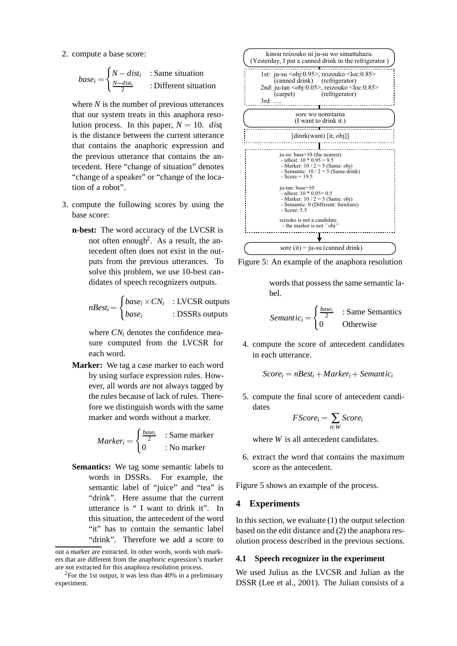2. compute a base score:

$$
base_i = \begin{cases} N - dist_i & \text{: Same situation} \\ \frac{N - dist_i}{2} & \text{: Different situation} \end{cases}
$$

where *N* is the number of previous utterances that our system treats in this anaphora resolution process. In this paper,  $N = 10$ . *disti* is the distance between the current utterance that contains the anaphoric expression and the previous utterance that contains the antecedent. Here "change of situation" denotes "change of a speaker" or "change of the location of a robot".

- 3. compute the following scores by using the base score:
	- **n-best:** The word accuracy of the LVCSR is not often enough<sup>2</sup>. As a result, the antecedent often does not exist in the outputs from the previous utterances. To solve this problem, we use 10-best candidates of speech recognizers outputs.

$$
nBest_i = \begin{cases} base_i \times CN_i & : LVCSR outputs \\ base_i & : DSSRs outputs \end{cases}
$$

where *CN<sub>i</sub>* denotes the confidence measure computed from the LVCSR for each word.

**Marker:** We tag a case marker to each word by using surface expression rules. However, all words are not always tagged by the rules because of lack of rules. Therefore we distinguish words with the same marker and words without a marker.

$$
Market_i = \begin{cases} \frac{base_i}{2} & \text{: Same marker} \\ 0 & \text{: No marker} \end{cases}
$$

**Semantics:** We tag some semantic labels to words in DSSRs. For example, the semantic label of "juice" and "tea" is "drink". Here assume that the current utterance is " I want to drink it". In this situation, the antecedent of the word "it" has to contain the semantic label "drink". Therefore we add a score to



Figure 5: An example of the anaphora resolution

words that possess the same semantic label.

*Semantic<sub>i</sub>* = 
$$
\begin{cases} \frac{base_i}{2} & \text{: Same Semantics} \\ 0 & \text{Otherwise} \end{cases}
$$

4. compute the score of antecedent candidates in each utterance.

 $Score_i = nBest_i + Market_i + Semantic_i$ 

5. compute the final score of antecedent candidates

$$
FScore_i = \sum_{i \in W} Score_i
$$

where *W* is all antecedent candidates.

6. extract the word that contains the maximum score as the antecedent.

Figure 5 shows an example of the process.

#### **4 Experiments**

In this section, we evaluate (1) the output selection based on the edit distance and (2) the anaphora resolution process described in the previous sections.

#### **4.1 Speech recognizer in the experiment**

We used Julius as the LVCSR and Julian as the DSSR (Lee et al., 2001). The Julian consists of a

out a marker are extracted. In other words, words with markers that are different from the anaphoric expression's marker are not extracted for this anaphora resolution process.

<sup>&</sup>lt;sup>2</sup>For the 1st output, it was less than 40% in a preliminary experiment.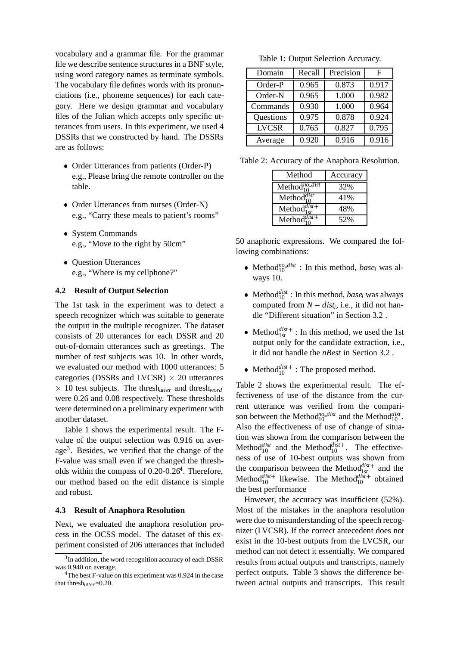vocabulary and a grammar file. For the grammar file we describe sentence structures in a BNF style, using word category names as terminate symbols. The vocabulary file defines words with its pronunciations (i.e., phoneme sequences) for each category. Here we design grammar and vocabulary files of the Julian which accepts only specific utterances from users. In this experiment, we used 4 DSSRs that we constructed by hand. The DSSRs are as follows:

- Order Utterances from patients (Order-P) e.g., Please bring the remote controller on the table.
- Order Utterances from nurses (Order-N) e.g., "Carry these meals to patient's rooms"
- System Commands e.g., "Move to the right by 50cm"
- Question Utterances e.g., "Where is my cellphone?"

#### **4.2 Result of Output Selection**

The 1st task in the experiment was to detect a speech recognizer which was suitable to generate the output in the multiple recognizer. The dataset consists of 20 utterances for each DSSR and 20 out-of-domain utterances such as greetings. The number of test subjects was 10. In other words, we evaluated our method with 1000 utterances: 5 categories (DSSRs and LVCSR)  $\times$  20 utterances  $\times$  10 test subjects. The thresh<sub>utter</sub> and thresh<sub>word</sub> were 0.26 and 0.08 respectively. These thresholds were determined on a preliminary experiment with another dataset.

Table 1 shows the experimental result. The Fvalue of the output selection was 0.916 on average<sup>3</sup>. Besides, we verified that the change of the F-value was small even if we changed the thresholds within the compass of  $0.20$ - $0.26<sup>4</sup>$ . Therefore, our method based on the edit distance is simple and robust.

#### **4.3 Result of Anaphora Resolution**

Next, we evaluated the anaphora resolution process in the OCSS model. The dataset of this experiment consisted of 206 utterances that included

Table 1: Output Selection Accuracy.

| Domain       | Recall | Precision | F     |
|--------------|--------|-----------|-------|
| Order-P      | 0.965  | 0.873     | 0.917 |
| Order-N      | 0.965  | 1.000     | 0.982 |
| Commands     | 0.930  | 1.000     | 0.964 |
| Questions    | 0.975  | 0.878     | 0.924 |
| <b>LVCSR</b> | 0.765  | 0.827     | 0.795 |
| Average      | 0.920  | 0.916     | 0.916 |

Table 2: Accuracy of the Anaphora Resolution.

| Method                     | Accuracy |  |
|----------------------------|----------|--|
| Method <sup>no</sup> -dist | 32%      |  |
| Method $_{10}^{dist}$      | 41%      |  |
| Method $d_{1st}^{dist}$    | 48%      |  |
| Method <sup>dist+</sup>    | 52%      |  |

50 anaphoric expressions. We compared the following combinations:

- Method<sup>*no dist* : In this method, *base<sub>i</sub>* was al-</sup> ways 10.
- Method<sup>*dist*</sup>: In this method, *base<sub>i</sub>* was always computed from  $N - dist_i$ , i.e., it did not handle "Different situation" in Section 3.2 .
- Method<sup>*dist*+</sup>: In this method, we used the 1st output only for the candidate extraction, i.e., it did not handle the *nBest* in Section 3.2 .
- Method $\frac{dist}{10}$ : The proposed method.

Table 2 shows the experimental result. The effectiveness of use of the distance from the current utterance was verified from the comparison between the Method<sup>no</sup><sub>10</sub><sup>*dist*</sup> and the Method<sup>*dist*</sup><sub>10</sub><sup>*d*</sup>. Also the effectiveness of use of change of situation was shown from the comparison between the Method<sup>*dist*</sup> and the Method<sup>*dist*+</sup>. The effectiveness of use of 10-best outputs was shown from the comparison between the Method<sup> $d_{1st}^{dist+}$ </sup> and the Method<sup> $d$ ist+</sup> likewise. The Method<sup> $d$ ist+</sup> obtained the best performance

However, the accuracy was insufficient (52%). Most of the mistakes in the anaphora resolution were due to misunderstanding of the speech recognizer (LVCSR). If the correct antecedent does not exist in the 10-best outputs from the LVCSR, our method can not detect it essentially. We compared results from actual outputs and transcripts, namely perfect outputs. Table 3 shows the difference between actual outputs and transcripts. This result

 $3$ In addition, the word recognition accuracy of each DSSR was 0.940 on average.

<sup>&</sup>lt;sup>4</sup>The best F-value on this experiment was 0.924 in the case that thresh*utter*=0.20.